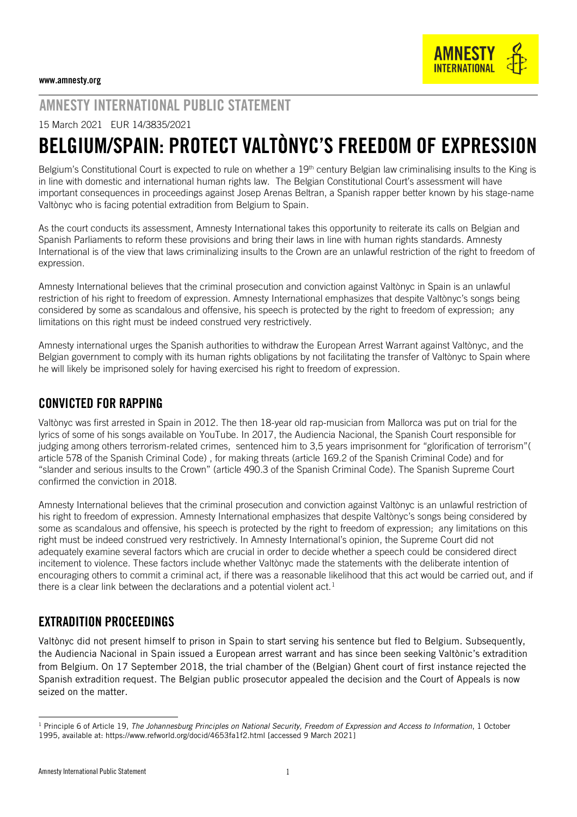## AMNESTY INTERNATIONAL PUBLIC STATEMENT

15 March 2021 EUR 14/3835/2021

# BELGIUM/SPAIN: PROTECT VALTÒNYC'S FREEDOM OF EXPRESSION

Belgium's Constitutional Court is expected to rule on whether a 19<sup>th</sup> century Belgian law criminalising insults to the King is in line with domestic and international human rights law. The Belgian Constitutional Court's assessment will have important consequences in proceedings against Josep Arenas Beltran, a Spanish rapper better known by his stage-name Valtònyc who is facing potential extradition from Belgium to Spain.

As the court conducts its assessment, Amnesty International takes this opportunity to reiterate its calls on Belgian and Spanish Parliaments to reform these provisions and bring their laws in line with human rights standards. Amnesty International is of the view that laws criminalizing insults to the Crown are an unlawful restriction of the right to freedom of expression.

Amnesty International believes that the criminal prosecution and conviction against Valtònyc in Spain is an unlawful restriction of his right to freedom of expression. Amnesty International emphasizes that despite Valtònyc's songs being considered by some as scandalous and offensive, his speech is protected by the right to freedom of expression; any limitations on this right must be indeed construed very restrictively.

Amnesty international urges the Spanish authorities to withdraw the European Arrest Warrant against Valtònyc, and the Belgian government to comply with its human rights obligations by not facilitating the transfer of Valtònyc to Spain where he will likely be imprisoned solely for having exercised his right to freedom of expression.

### CONVICTED FOR RAPPING

Valtònyc was first arrested in Spain in 2012. The then 18-year old rap-musician from Mallorca was put on trial for the lyrics of some of his songs available on YouTube. In 2017, the Audiencia Nacional, the Spanish Court responsible for judging among others terrorism-related crimes, sentenced him to 3,5 years imprisonment for "glorification of terrorism"( article 578 of the Spanish Criminal Code) , for making threats (article 169.2 of the Spanish Criminal Code) and for "slander and serious insults to the Crown" (article 490.3 of the Spanish Criminal Code). The Spanish Supreme Court confirmed the conviction in 2018.

Amnesty International believes that the criminal prosecution and conviction against Valtònyc is an unlawful restriction of his right to freedom of expression. Amnesty International emphasizes that despite Valtònyc's songs being considered by some as scandalous and offensive, his speech is protected by the right to freedom of expression; any limitations on this right must be indeed construed very restrictively. In Amnesty International's opinion, the Supreme Court did not adequately examine several factors which are crucial in order to decide whether a speech could be considered direct incitement to violence. These factors include whether Valtònyc made the statements with the deliberate intention of encouraging others to commit a criminal act, if there was a reasonable likelihood that this act would be carried out, and if there is a clear link between the declarations and a potential violent  $act<sup>1</sup>$ 

#### EXTRADITION PROCEEDINGS

Valtònyc did not present himself to prison in Spain to start serving his sentence but fled to Belgium. Subsequently, the Audiencia Nacional in Spain issued a European arrest warrant and has since been seeking Valtònic's extradition from Belgium. On 17 September 2018, the trial chamber of the (Belgian) Ghent court of first instance rejected the Spanish extradition request. The Belgian public prosecutor appealed the decision and the Court of Appeals is now seized on the matter.

<sup>&</sup>lt;sup>1</sup> Principle 6 of Article 19, *The Johannesburg Principles on National Security, Freedom of Expression and Access to Information, 1 October* 1995, available at: https://www.refworld.org/docid/4653fa1f2.html [accessed 9 March 2021]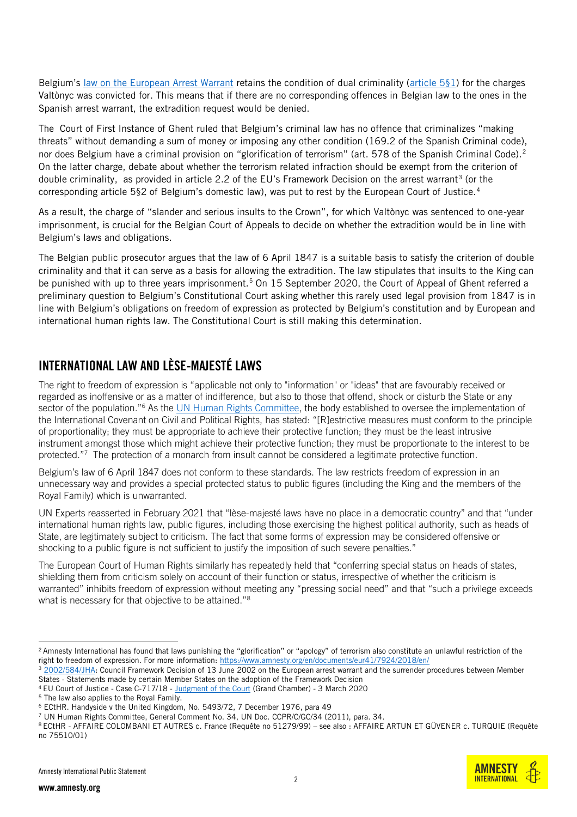Belgium's [law on the European Arrest Warrant](https://www.ejustice.just.fgov.be/cgi_loi/change_lg.pl?language=fr&la=F&cn=2003121932&table_name=loi) retains the condition of dual criminality [\(article 5§1\)](https://www.ejustice.just.fgov.be/cgi_loi/change_lg.pl?language=fr&la=F&cn=2003121932&table_name=loi) for the charges Valtònyc was convicted for. This means that if there are no corresponding offences in Belgian law to the ones in the Spanish arrest warrant, the extradition request would be denied.

The Court of First Instance of Ghent ruled that Belgium's criminal law has no offence that criminalizes "making threats" without demanding a sum of money or imposing any other condition (169.2 of the Spanish Criminal code), nor does Belgium have a criminal provision on "glorification of terrorism" (art. 578 of the Spanish Criminal Code).<sup>2</sup> On the latter charge, debate about whether the terrorism related infraction should be exempt from the criterion of double criminality, as provided in article 2.2 of the EU's Framework Decision on the arrest warrant<sup>3</sup> (or the corresponding article 5§2 of Belgium's domestic law), was put to rest by the European Court of Justice.<sup>4</sup>

As a result, the charge of "slander and serious insults to the Crown", for which Valtònyc was sentenced to one-year imprisonment, is crucial for the Belgian Court of Appeals to decide on whether the extradition would be in line with Belgium's laws and obligations.

The Belgian public prosecutor argues that the law of 6 April 1847 is a suitable basis to satisfy the criterion of double criminality and that it can serve as a basis for allowing the extradition. The law stipulates that insults to the King can be punished with up to three years imprisonment.<sup>5</sup> On 15 September 2020, the Court of Appeal of Ghent referred a preliminary question to Belgium's Constitutional Court asking whether this rarely used legal provision from 1847 is in line with Belgium's obligations on freedom of expression as protected by Belgium's constitution and by European and international human rights law. The Constitutional Court is still making this determination.

#### INTERNATIONAL LAW AND LÈSE-MAJESTÉ LAWS

The right to freedom of expression is "applicable not only to "information" or "ideas" that are favourably received or regarded as inoffensive or as a matter of indifference, but also to those that offend, shock or disturb the State or any sector of the population."<sup>6</sup> As the [UN Human Rights Committee,](https://www2.ohchr.org/english/bodies/hrc/docs/gc34.pdf) the body established to oversee the implementation of the International Covenant on Civil and Political Rights, has stated: "[R]estrictive measures must conform to the principle of proportionality; they must be appropriate to achieve their protective function; they must be the least intrusive instrument amongst those which might achieve their protective function; they must be proportionate to the interest to be protected."<sup>7</sup> The protection of a monarch from insult cannot be considered a legitimate protective function.

Belgium's law of 6 April 1847 does not conform to these standards. The law restricts freedom of expression in an unnecessary way and provides a special protected status to public figures (including the King and the members of the Royal Family) which is unwarranted.

[UN Experts](https://www.ohchr.org/EN/NewsEvents/Pages/DisplayNews.aspx?NewsID=26727&LangID=E) reasserted in February 2021 that "lèse-majesté laws have no place in a democratic country" and that "under international human rights law, public figures, including those exercising the highest political authority, such as heads of State, are legitimately subject to criticism. The fact that some forms of expression may be considered offensive or shocking to a public figure is not sufficient to justify the imposition of such severe penalties."

The European Court of Human Rights similarly has repeatedly held that "conferring special status on heads of states, shielding them from criticism solely on account of their function or status, irrespective of whether the criticism is warranted" inhibits freedom of expression without meeting any "pressing social need" and that "such a privilege exceeds what is necessary for that objective to be attained."<sup>8</sup>



<sup>&</sup>lt;sup>2</sup> Amnesty International has found that laws punishing the "glorification" or "apology" of terrorism also constitute an unlawful restriction of the right to freedom of expression. For more information[: https://www.amnesty.org/en/documents/eur41/7924/2018/en/](https://www.amnesty.org/en/documents/eur41/7924/2018/en/)

<sup>3</sup> [2002/584/JHA:](https://eur-lex.europa.eu/legal-content/EN/TXT/?uri=celex%3A32002F0584) Council Framework Decision of 13 June 2002 on the European arrest warrant and the surrender procedures between Member States - Statements made by certain Member States on the adoption of the Framework Decision

<sup>4</sup> EU Court of Justice - Case C-717/18 - [Judgment of the Court](http://curia.europa.eu/juris/document/document.jsf?text=&docid=223982&pageIndex=0&doclang=EN&mode=lst&dir=&occ=first&part=1&cid=2315930) (Grand Chamber) - 3 March 2020

<sup>&</sup>lt;sup>5</sup> The law also applies to the Royal Family.

<sup>6</sup> ECtHR. Handyside v the United Kingdom, No. 5493/72, 7 December 1976, para 49

<sup>7</sup> UN Human Rights Committee, General Comment No. 34, UN Doc. CCPR/C/GC/34 (2011), para. 34.

<sup>8</sup> ECtHR - AFFAIRE COLOMBANI ET AUTRES c. France (Requête no 51279/99) – see also : AFFAIRE ARTUN ET GÜVENER c. TURQUIE (Requête no 75510/01)